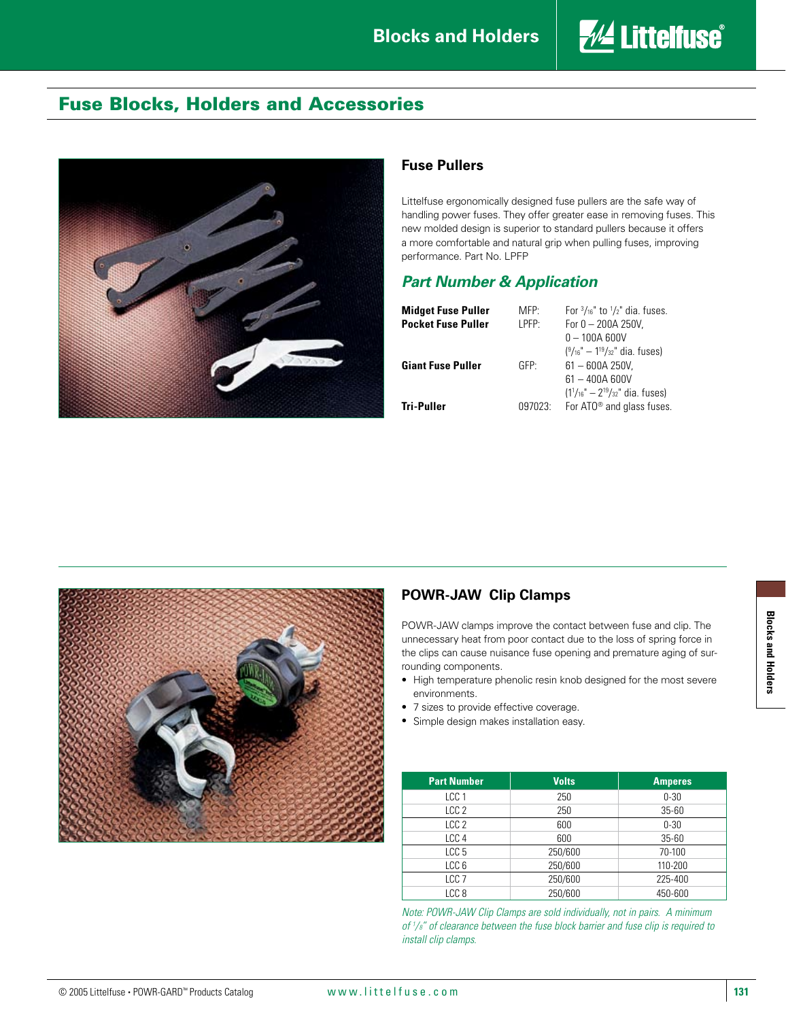

## Fuse Blocks, Holders and Accessories



#### **Fuse Pullers**

Littelfuse ergonomically designed fuse pullers are the safe way of handling power fuses. They offer greater ease in removing fuses. This new molded design is superior to standard pullers because it offers a more comfortable and natural grip when pulling fuses, improving performance. Part No. LPFP

#### *Part Number & Application*

| <b>Midget Fuse Puller</b><br><b>Pocket Fuse Puller</b> | MFP<br>I PFP.    | For $\frac{3}{16}$ to $\frac{1}{2}$ dia. fuses.<br>For $0 - 200A250V$ .<br>$0 - 100A$ 600V<br>$(^9/_{16}$ " $-$ 1 <sup>19</sup> / <sub>32</sub> " dia. fuses) |
|--------------------------------------------------------|------------------|---------------------------------------------------------------------------------------------------------------------------------------------------------------|
| <b>Giant Fuse Puller</b>                               | GFP <sup>.</sup> | $61 - 600A250V$<br>$61 - 400A 600V$                                                                                                                           |
| Tri-Puller                                             | 097023:          | $(11/16" - 219/32"$ dia. fuses)<br>For ATO <sup>®</sup> and glass fuses.                                                                                      |



### **POWR-JAW Clip Clamps**

POWR-JAW clamps improve the contact between fuse and clip. The unnecessary heat from poor contact due to the loss of spring force in the clips can cause nuisance fuse opening and premature aging of surrounding components.

- High temperature phenolic resin knob designed for the most severe environments.
- 7 sizes to provide effective coverage.
- Simple design makes installation easy.

| <b>Part Number</b> | <b>Volts</b> | <b>Amperes</b> |
|--------------------|--------------|----------------|
| LCC <sub>1</sub>   | 250          | $0 - 30$       |
| LCC <sub>2</sub>   | 250          | $35 - 60$      |
| LCC <sub>2</sub>   | 600          | $0 - 30$       |
| LCC <sub>4</sub>   | 600          | $35 - 60$      |
| LCC <sub>5</sub>   | 250/600      | 70-100         |
| LCC <sub>6</sub>   | 250/600      | 110-200        |
| LCC <sub>7</sub>   | 250/600      | 225-400        |
| LCC <sub>8</sub>   | 250/600      | 450-600        |

*Note: POWR-JAW Clip Clamps are sold individually, not in pairs. A minimum of 1 /8" of clearance between the fuse block barrier and fuse clip is required to install clip clamps.*